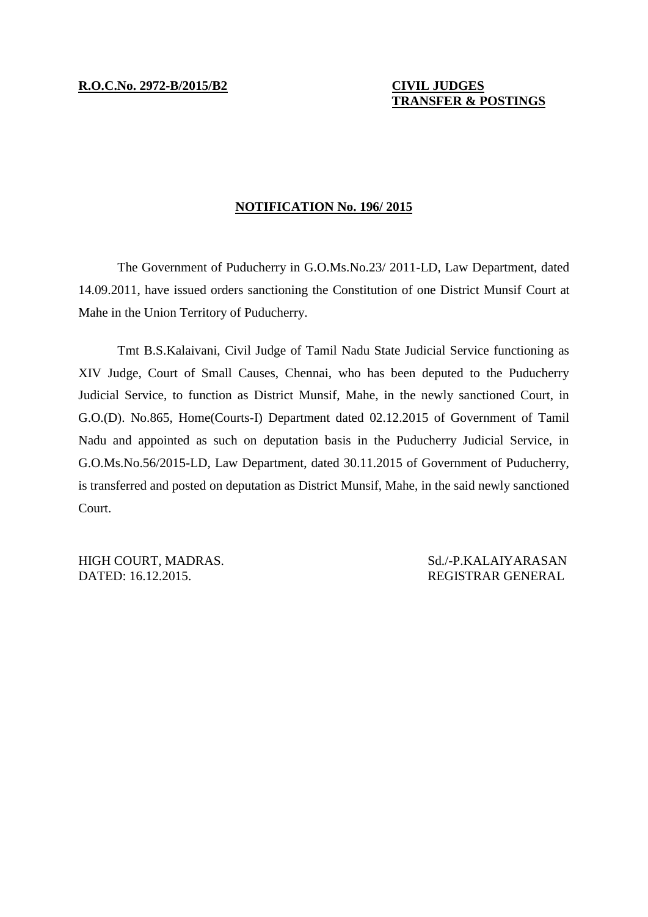## **TRANSFER & POSTINGS**

## **NOTIFICATION No. 196/ 2015**

The Government of Puducherry in G.O.Ms.No.23/ 2011-LD, Law Department, dated 14.09.2011, have issued orders sanctioning the Constitution of one District Munsif Court at Mahe in the Union Territory of Puducherry.

Tmt B.S.Kalaivani, Civil Judge of Tamil Nadu State Judicial Service functioning as XIV Judge, Court of Small Causes, Chennai, who has been deputed to the Puducherry Judicial Service, to function as District Munsif, Mahe, in the newly sanctioned Court, in G.O.(D). No.865, Home(Courts-I) Department dated 02.12.2015 of Government of Tamil Nadu and appointed as such on deputation basis in the Puducherry Judicial Service, in G.O.Ms.No.56/2015-LD, Law Department, dated 30.11.2015 of Government of Puducherry, is transferred and posted on deputation as District Munsif, Mahe, in the said newly sanctioned Court.

HIGH COURT, MADRAS. Sd./-P.KALAIYARASAN DATED: 16.12.2015. REGISTRAR GENERAL